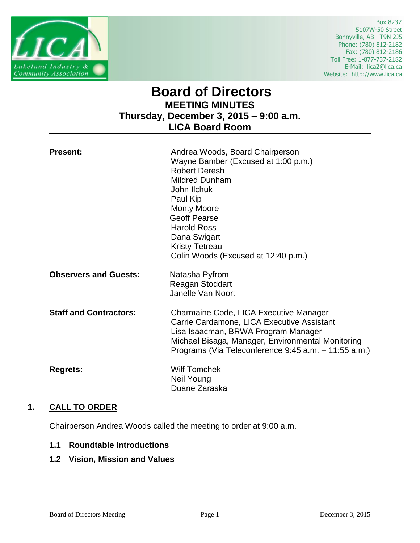

 Box 8237 5107W-50 Street Bonnyville, AB T9N 2J5 Phone: (780) 812-2182 Fax: (780) 812-2186 Toll Free: 1-877-737-2182 E-Mail: lica2@lica.ca Website: http://www.lica.ca

# **Board of Directors MEETING MINUTES Thursday, December 3, 2015 – 9:00 a.m. LICA Board Room**

| <b>Present:</b>               | Andrea Woods, Board Chairperson<br>Wayne Bamber (Excused at 1:00 p.m.)<br><b>Robert Deresh</b><br><b>Mildred Dunham</b><br>John Ilchuk<br>Paul Kip<br><b>Monty Moore</b><br><b>Geoff Pearse</b><br><b>Harold Ross</b><br>Dana Swigart<br><b>Kristy Tetreau</b><br>Colin Woods (Excused at 12:40 p.m.) |
|-------------------------------|-------------------------------------------------------------------------------------------------------------------------------------------------------------------------------------------------------------------------------------------------------------------------------------------------------|
| <b>Observers and Guests:</b>  | Natasha Pyfrom<br>Reagan Stoddart<br>Janelle Van Noort                                                                                                                                                                                                                                                |
| <b>Staff and Contractors:</b> | Charmaine Code, LICA Executive Manager<br>Carrie Cardamone, LICA Executive Assistant<br>Lisa Isaacman, BRWA Program Manager<br>Michael Bisaga, Manager, Environmental Monitoring<br>Programs (Via Teleconference 9:45 a.m. - 11:55 a.m.)                                                              |
| <b>Regrets:</b>               | <b>Wilf Tomchek</b><br>Neil Young<br>Duane Zaraska                                                                                                                                                                                                                                                    |

# **1. CALL TO ORDER**

Chairperson Andrea Woods called the meeting to order at 9:00 a.m.

## **1.1 Roundtable Introductions**

# **1.2 Vision, Mission and Values**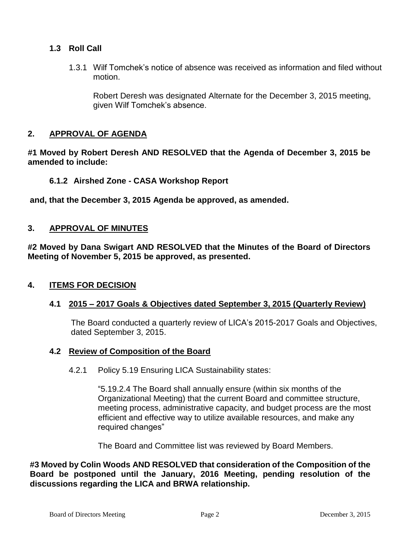# **1.3 Roll Call**

1.3.1 Wilf Tomchek's notice of absence was received as information and filed without motion.

Robert Deresh was designated Alternate for the December 3, 2015 meeting, given Wilf Tomchek's absence.

# **2. APPROVAL OF AGENDA**

**#1 Moved by Robert Deresh AND RESOLVED that the Agenda of December 3, 2015 be amended to include:**

**6.1.2 Airshed Zone - CASA Workshop Report** 

**and, that the December 3, 2015 Agenda be approved, as amended.**

# **3. APPROVAL OF MINUTES**

**#2 Moved by Dana Swigart AND RESOLVED that the Minutes of the Board of Directors Meeting of November 5, 2015 be approved, as presented.**

## **4. ITEMS FOR DECISION**

## **4.1 2015 – 2017 Goals & Objectives dated September 3, 2015 (Quarterly Review)**

The Board conducted a quarterly review of LICA's 2015-2017 Goals and Objectives, dated September 3, 2015.

## **4.2 Review of Composition of the Board**

4.2.1 Policy 5.19 Ensuring LICA Sustainability states:

"5.19.2.4 The Board shall annually ensure (within six months of the Organizational Meeting) that the current Board and committee structure, meeting process, administrative capacity, and budget process are the most efficient and effective way to utilize available resources, and make any required changes"

The Board and Committee list was reviewed by Board Members.

**#3 Moved by Colin Woods AND RESOLVED that consideration of the Composition of the Board be postponed until the January, 2016 Meeting, pending resolution of the discussions regarding the LICA and BRWA relationship.**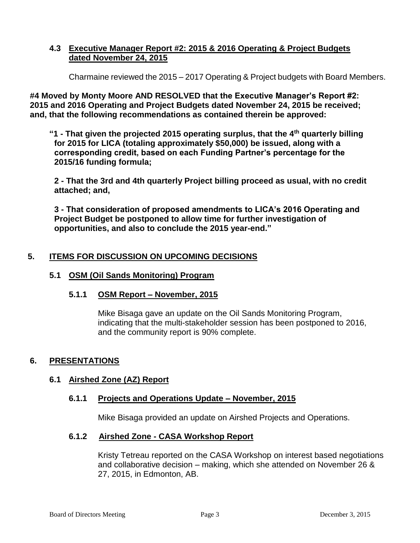# **4.3 Executive Manager Report #2: 2015 & 2016 Operating & Project Budgets dated November 24, 2015**

Charmaine reviewed the 2015 – 2017 Operating & Project budgets with Board Members.

**#4 Moved by Monty Moore AND RESOLVED that the Executive Manager's Report #2: 2015 and 2016 Operating and Project Budgets dated November 24, 2015 be received; and, that the following recommendations as contained therein be approved:**

**"1 - That given the projected 2015 operating surplus, that the 4th quarterly billing for 2015 for LICA (totaling approximately \$50,000) be issued, along with a corresponding credit, based on each Funding Partner's percentage for the 2015/16 funding formula;**

**2 - That the 3rd and 4th quarterly Project billing proceed as usual, with no credit attached; and,**

**3 - That consideration of proposed amendments to LICA's 2016 Operating and Project Budget be postponed to allow time for further investigation of opportunities, and also to conclude the 2015 year-end."**

# **5. ITEMS FOR DISCUSSION ON UPCOMING DECISIONS**

## **5.1 OSM (Oil Sands Monitoring) Program**

## **5.1.1 OSM Report – November, 2015**

Mike Bisaga gave an update on the Oil Sands Monitoring Program, indicating that the multi-stakeholder session has been postponed to 2016, and the community report is 90% complete.

## **6. PRESENTATIONS**

## **6.1 Airshed Zone (AZ) Report**

## **6.1.1 Projects and Operations Update – November, 2015**

Mike Bisaga provided an update on Airshed Projects and Operations.

## **6.1.2 Airshed Zone - CASA Workshop Report**

Kristy Tetreau reported on the CASA Workshop on interest based negotiations and collaborative decision – making, which she attended on November 26 & 27, 2015, in Edmonton, AB.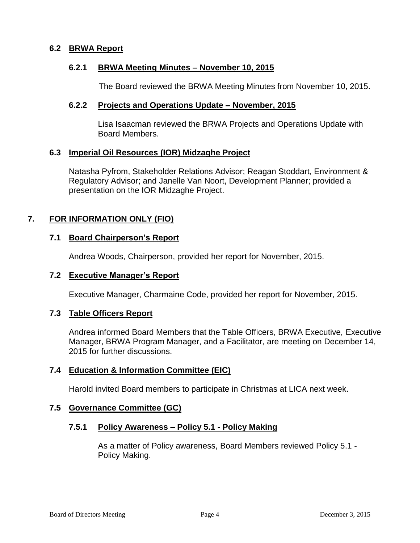## **6.2 BRWA Report**

## **6.2.1 BRWA Meeting Minutes – November 10, 2015**

The Board reviewed the BRWA Meeting Minutes from November 10, 2015.

## **6.2.2 Projects and Operations Update – November, 2015**

Lisa Isaacman reviewed the BRWA Projects and Operations Update with Board Members.

## **6.3 Imperial Oil Resources (IOR) Midzaghe Project**

Natasha Pyfrom, Stakeholder Relations Advisor; Reagan Stoddart, Environment & Regulatory Advisor; and Janelle Van Noort, Development Planner; provided a presentation on the IOR Midzaghe Project.

# **7. FOR INFORMATION ONLY (FIO)**

## **7.1 Board Chairperson's Report**

Andrea Woods, Chairperson, provided her report for November, 2015.

## **7.2 Executive Manager's Report**

Executive Manager, Charmaine Code, provided her report for November, 2015.

## **7.3 Table Officers Report**

Andrea informed Board Members that the Table Officers, BRWA Executive, Executive Manager, BRWA Program Manager, and a Facilitator, are meeting on December 14, 2015 for further discussions.

## **7.4 Education & Information Committee (EIC)**

Harold invited Board members to participate in Christmas at LICA next week.

## **7.5 Governance Committee (GC)**

## **7.5.1 Policy Awareness – Policy 5.1 - Policy Making**

As a matter of Policy awareness, Board Members reviewed Policy 5.1 - Policy Making.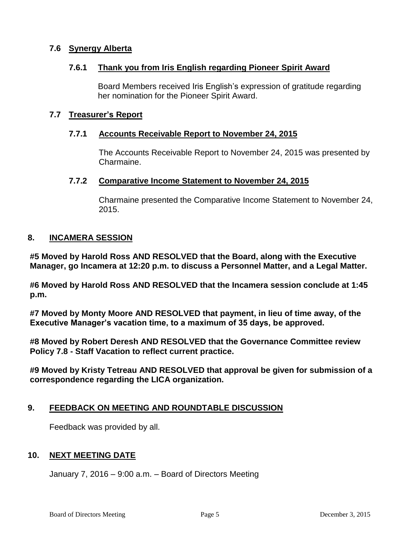# **7.6 Synergy Alberta**

## **7.6.1 Thank you from Iris English regarding Pioneer Spirit Award**

Board Members received Iris English's expression of gratitude regarding her nomination for the Pioneer Spirit Award.

# **7.7 Treasurer's Report**

# **7.7.1 Accounts Receivable Report to November 24, 2015**

The Accounts Receivable Report to November 24, 2015 was presented by Charmaine.

## **7.7.2 Comparative Income Statement to November 24, 2015**

Charmaine presented the Comparative Income Statement to November 24, 2015.

## **8. INCAMERA SESSION**

**#5 Moved by Harold Ross AND RESOLVED that the Board, along with the Executive Manager, go Incamera at 12:20 p.m. to discuss a Personnel Matter, and a Legal Matter.**

**#6 Moved by Harold Ross AND RESOLVED that the Incamera session conclude at 1:45 p.m.**

**#7 Moved by Monty Moore AND RESOLVED that payment, in lieu of time away, of the Executive Manager's vacation time, to a maximum of 35 days, be approved.**

**#8 Moved by Robert Deresh AND RESOLVED that the Governance Committee review Policy 7.8 - Staff Vacation to reflect current practice.**

**#9 Moved by Kristy Tetreau AND RESOLVED that approval be given for submission of a correspondence regarding the LICA organization.**

## **9. FEEDBACK ON MEETING AND ROUNDTABLE DISCUSSION**

Feedback was provided by all.

## **10. NEXT MEETING DATE**

January 7, 2016 – 9:00 a.m. – Board of Directors Meeting